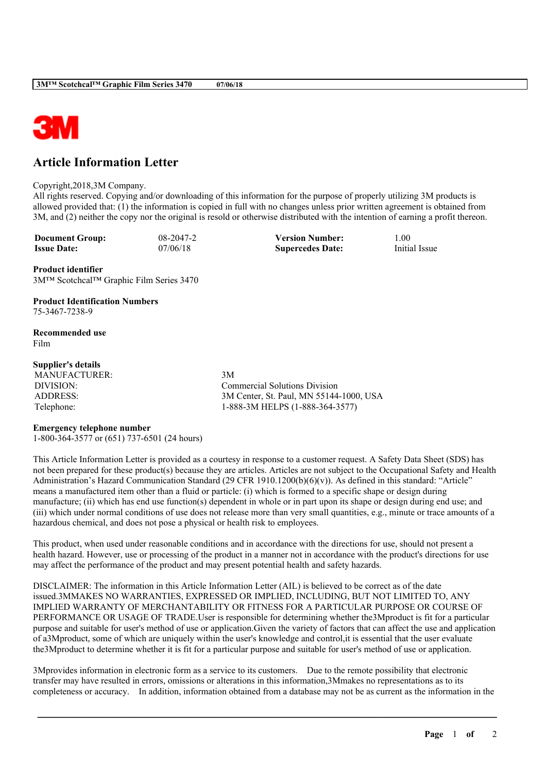

## **Article Information Letter**

## Copyright,2018,3M Company.

All rights reserved. Copying and/or downloading of this information for the purpose of properly utilizing 3M products is allowed provided that: (1) the information is copied in full with no changes unless prior written agreement is obtained from 3M, and (2) neither the copy nor the original is resold or otherwise distributed with the intention of earning a profit thereon.

**Document Group:** 08-2047-2 **Version Number:** 1.00<br> **Issue Date:** 07/06/18 **Supercedes Date:** Initial Issue **Issue Date:** 07/06/18 **Supercedes Date:** 

**Product identifier** 3M™ Scotchcal™ Graphic Film Series 3470

**Product Identification Numbers** 75-3467-7238-9

**Recommended use** Film

## **Supplier's details**

MANUFACTURER: 3M

DIVISION: Commercial Solutions Division ADDRESS: 3M Center, St. Paul, MN 55144-1000, USA Telephone: 1-888-3M HELPS (1-888-364-3577)

## **Emergency telephone number**

1-800-364-3577 or (651) 737-6501 (24 hours)

This Article Information Letter is provided as a courtesy in response to a customer request. A Safety Data Sheet (SDS) has not been prepared for these product(s) because they are articles. Articles are not subject to the Occupational Safety and Health Administration's Hazard Communication Standard (29 CFR 1910.1200(b)(6)(v)). As defined in this standard: "Article" means a manufactured item other than a fluid or particle: (i) which is formed to a specific shape or design during manufacture; (ii) which has end use function(s) dependent in whole or in part upon its shape or design during end use; and (iii) which under normal conditions of use does not release more than very small quantities, e.g., minute or trace amounts of a hazardous chemical, and does not pose a physical or health risk to employees.

This product, when used under reasonable conditions and in accordance with the directions for use, should not present a health hazard. However, use or processing of the product in a manner not in accordance with the product's directions for use may affect the performance of the product and may present potential health and safety hazards.

DISCLAIMER: The information in this Article Information Letter (AIL) is believed to be correct as of the date issued.3MMAKES NO WARRANTIES, EXPRESSED OR IMPLIED, INCLUDING, BUT NOT LIMITED TO, ANY IMPLIED WARRANTY OF MERCHANTABILITY OR FITNESS FOR A PARTICULAR PURPOSE OR COURSE OF PERFORMANCE OR USAGE OF TRADE.User is responsible for determining whether the3Mproduct is fit for a particular purpose and suitable for user's method of use or application.Given the variety of factors that can affect the use and application of a3Mproduct, some of which are uniquely within the user's knowledge and control,it is essential that the user evaluate the3Mproduct to determine whether it is fit for a particular purpose and suitable for user's method of use or application.

3Mprovides information in electronic form as a service to its customers. Due to the remote possibility that electronic transfer may have resulted in errors, omissions or alterations in this information,3Mmakes no representations as to its completeness or accuracy. In addition, information obtained from a database may not be as current as the information in the

\_\_\_\_\_\_\_\_\_\_\_\_\_\_\_\_\_\_\_\_\_\_\_\_\_\_\_\_\_\_\_\_\_\_\_\_\_\_\_\_\_\_\_\_\_\_\_\_\_\_\_\_\_\_\_\_\_\_\_\_\_\_\_\_\_\_\_\_\_\_\_\_\_\_\_\_\_\_\_\_\_\_\_\_\_\_\_\_\_\_